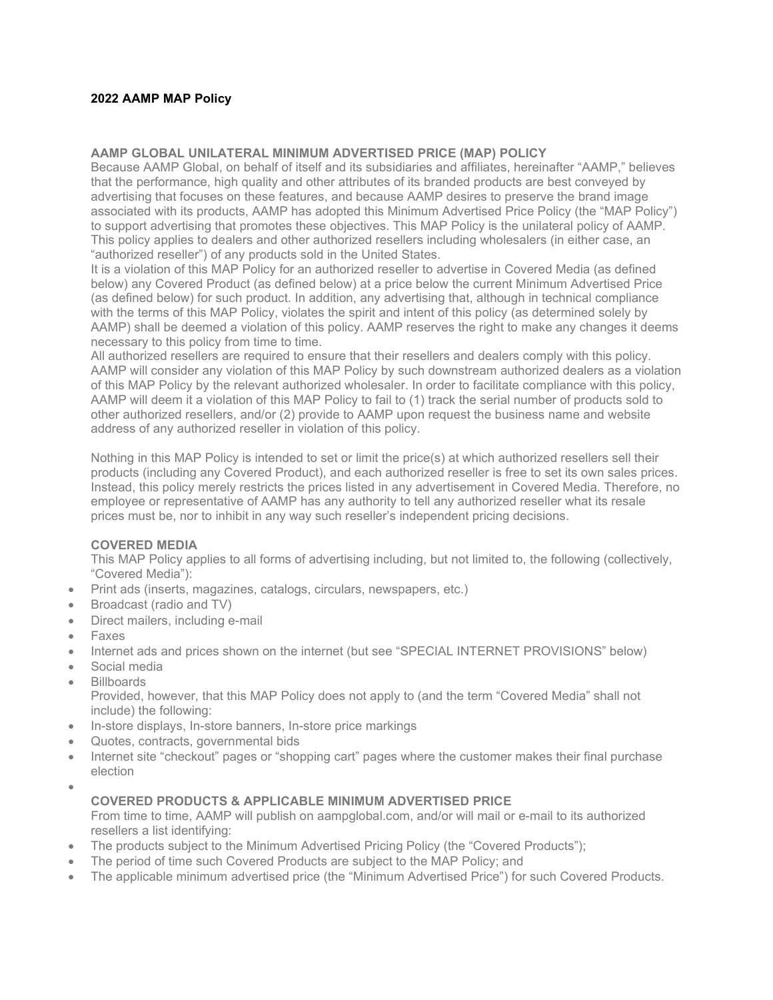### **2022 AAMP MAP Policy**

#### **AAMP GLOBAL UNILATERAL MINIMUM ADVERTISED PRICE (MAP) POLICY**

Because AAMP Global, on behalf of itself and its subsidiaries and affiliates, hereinafter "AAMP," believes that the performance, high quality and other attributes of its branded products are best conveyed by advertising that focuses on these features, and because AAMP desires to preserve the brand image associated with its products, AAMP has adopted this Minimum Advertised Price Policy (the "MAP Policy") to support advertising that promotes these objectives. This MAP Policy is the unilateral policy of AAMP. This policy applies to dealers and other authorized resellers including wholesalers (in either case, an "authorized reseller") of any products sold in the United States.

It is a violation of this MAP Policy for an authorized reseller to advertise in Covered Media (as defined below) any Covered Product (as defined below) at a price below the current Minimum Advertised Price (as defined below) for such product. In addition, any advertising that, although in technical compliance with the terms of this MAP Policy, violates the spirit and intent of this policy (as determined solely by AAMP) shall be deemed a violation of this policy. AAMP reserves the right to make any changes it deems necessary to this policy from time to time.

All authorized resellers are required to ensure that their resellers and dealers comply with this policy. AAMP will consider any violation of this MAP Policy by such downstream authorized dealers as a violation of this MAP Policy by the relevant authorized wholesaler. In order to facilitate compliance with this policy, AAMP will deem it a violation of this MAP Policy to fail to (1) track the serial number of products sold to other authorized resellers, and/or (2) provide to AAMP upon request the business name and website address of any authorized reseller in violation of this policy.

Nothing in this MAP Policy is intended to set or limit the price(s) at which authorized resellers sell their products (including any Covered Product), and each authorized reseller is free to set its own sales prices. Instead, this policy merely restricts the prices listed in any advertisement in Covered Media. Therefore, no employee or representative of AAMP has any authority to tell any authorized reseller what its resale prices must be, nor to inhibit in any way such reseller's independent pricing decisions.

#### **COVERED MEDIA**

This MAP Policy applies to all forms of advertising including, but not limited to, the following (collectively, "Covered Media"):

- Print ads (inserts, magazines, catalogs, circulars, newspapers, etc.)
- Broadcast (radio and TV)
- Direct mailers, including e-mail
- Faxes
- Internet ads and prices shown on the internet (but see "SPECIAL INTERNET PROVISIONS" below)
- Social media
- Billboards

Provided, however, that this MAP Policy does not apply to (and the term "Covered Media" shall not include) the following:

- In-store displays, In-store banners, In-store price markings
- Quotes, contracts, governmental bids
- Internet site "checkout" pages or "shopping cart" pages where the customer makes their final purchase election
- •

#### **COVERED PRODUCTS & APPLICABLE MINIMUM ADVERTISED PRICE**

From time to time, AAMP will publish on aampglobal.com, and/or will mail or e-mail to its authorized resellers a list identifying:

- The products subject to the Minimum Advertised Pricing Policy (the "Covered Products");
- The period of time such Covered Products are subject to the MAP Policy; and
- The applicable minimum advertised price (the "Minimum Advertised Price") for such Covered Products.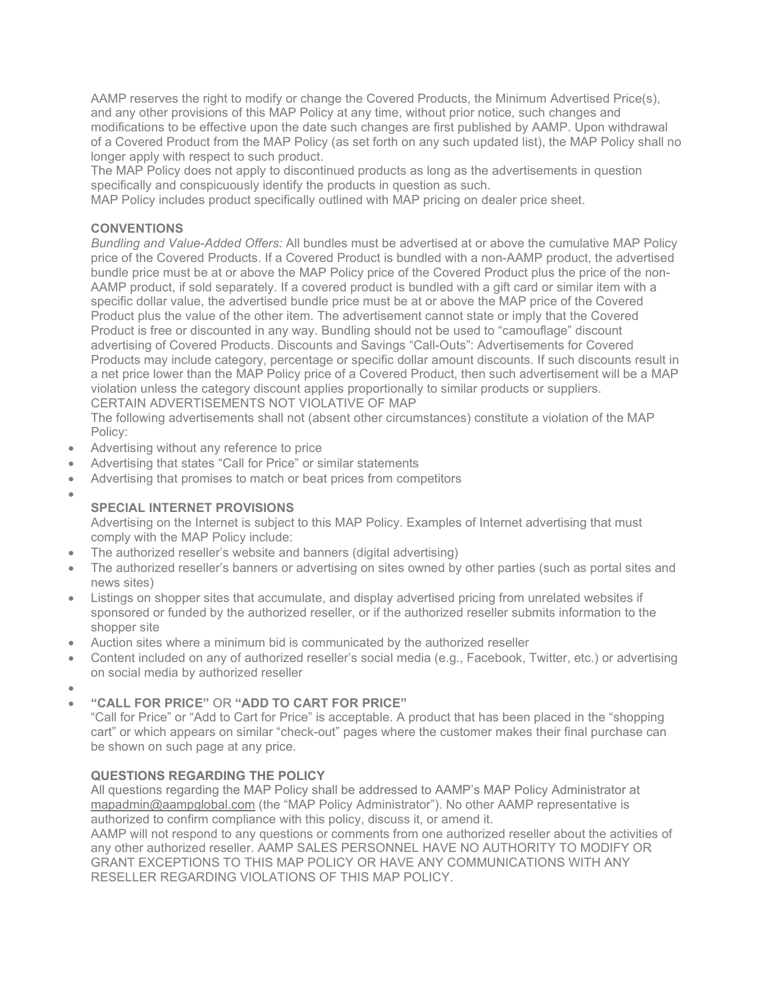AAMP reserves the right to modify or change the Covered Products, the Minimum Advertised Price(s), and any other provisions of this MAP Policy at any time, without prior notice, such changes and modifications to be effective upon the date such changes are first published by AAMP. Upon withdrawal of a Covered Product from the MAP Policy (as set forth on any such updated list), the MAP Policy shall no longer apply with respect to such product.

The MAP Policy does not apply to discontinued products as long as the advertisements in question specifically and conspicuously identify the products in question as such.

MAP Policy includes product specifically outlined with MAP pricing on dealer price sheet.

## **CONVENTIONS**

*Bundling and Value-Added Offers:* All bundles must be advertised at or above the cumulative MAP Policy price of the Covered Products. If a Covered Product is bundled with a non-AAMP product, the advertised bundle price must be at or above the MAP Policy price of the Covered Product plus the price of the non-AAMP product, if sold separately. If a covered product is bundled with a gift card or similar item with a specific dollar value, the advertised bundle price must be at or above the MAP price of the Covered Product plus the value of the other item. The advertisement cannot state or imply that the Covered Product is free or discounted in any way. Bundling should not be used to "camouflage" discount advertising of Covered Products. Discounts and Savings "Call-Outs": Advertisements for Covered Products may include category, percentage or specific dollar amount discounts. If such discounts result in a net price lower than the MAP Policy price of a Covered Product, then such advertisement will be a MAP violation unless the category discount applies proportionally to similar products or suppliers. CERTAIN ADVERTISEMENTS NOT VIOLATIVE OF MAP

The following advertisements shall not (absent other circumstances) constitute a violation of the MAP Policy:

- Advertising without any reference to price
- Advertising that states "Call for Price" or similar statements
- Advertising that promises to match or beat prices from competitors
- •

# **SPECIAL INTERNET PROVISIONS**

Advertising on the Internet is subject to this MAP Policy. Examples of Internet advertising that must comply with the MAP Policy include:

- The authorized reseller's website and banners (digital advertising)
- The authorized reseller's banners or advertising on sites owned by other parties (such as portal sites and news sites)
- Listings on shopper sites that accumulate, and display advertised pricing from unrelated websites if sponsored or funded by the authorized reseller, or if the authorized reseller submits information to the shopper site
- Auction sites where a minimum bid is communicated by the authorized reseller
- Content included on any of authorized reseller's social media (e.g., Facebook, Twitter, etc.) or advertising on social media by authorized reseller
- •

## • **"CALL FOR PRICE"** OR **"ADD TO CART FOR PRICE"**

"Call for Price" or "Add to Cart for Price" is acceptable. A product that has been placed in the "shopping cart" or which appears on similar "check-out" pages where the customer makes their final purchase can be shown on such page at any price.

## **QUESTIONS REGARDING THE POLICY**

All questions regarding the MAP Policy shall be addressed to AAMP's MAP Policy Administrator at [mapadmin@aampglobal.com](mailto:mapadmin@aampglobal.com) (the "MAP Policy Administrator"). No other AAMP representative is authorized to confirm compliance with this policy, discuss it, or amend it.

AAMP will not respond to any questions or comments from one authorized reseller about the activities of any other authorized reseller. AAMP SALES PERSONNEL HAVE NO AUTHORITY TO MODIFY OR GRANT EXCEPTIONS TO THIS MAP POLICY OR HAVE ANY COMMUNICATIONS WITH ANY RESELLER REGARDING VIOLATIONS OF THIS MAP POLICY.